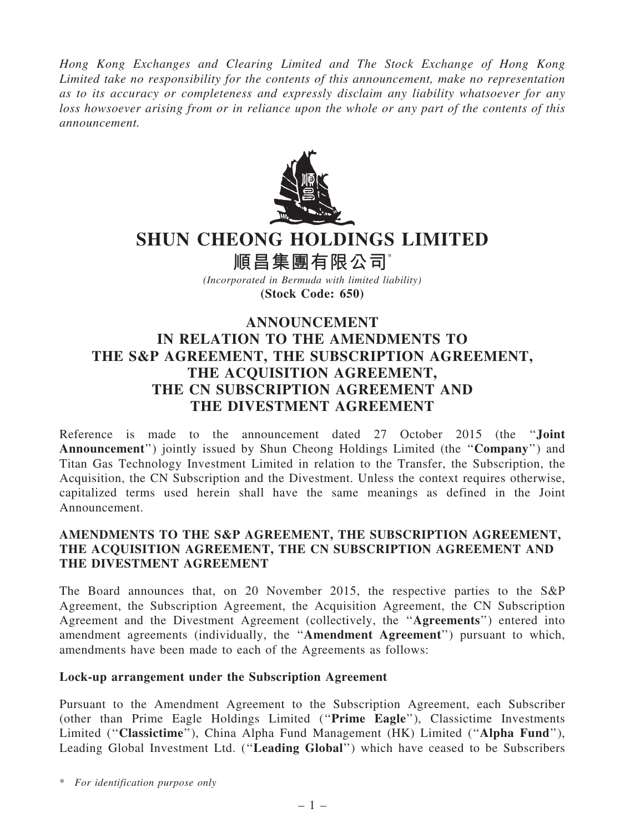*Hong Kong Exchanges and Clearing Limited and The Stock Exchange of Hong Kong Limited take no responsibility for the contents of this announcement, make no representation as to its accuracy or completeness and expressly disclaim any liability whatsoever for any loss howsoever arising from or in reliance upon the whole or any part of the contents of this announcement.*



# SHUN CHEONG HOLDINGS LIMITED

順昌集團有限公司\*

*(Incorporated in Bermuda with limited liability)* (Stock Code: 650)

## ANNOUNCEMENT IN RELATION TO THE AMENDMENTS TO THE S&P AGREEMENT, THE SUBSCRIPTION AGREEMENT, THE ACOUISITION AGREEMENT, THE CN SUBSCRIPTION AGREEMENT AND THE DIVESTMENT AGREEMENT

Reference is made to the announcement dated 27 October 2015 (the ''Joint Announcement'') jointly issued by Shun Cheong Holdings Limited (the ''Company'') and Titan Gas Technology Investment Limited in relation to the Transfer, the Subscription, the Acquisition, the CN Subscription and the Divestment. Unless the context requires otherwise, capitalized terms used herein shall have the same meanings as defined in the Joint Announcement.

## AMENDMENTS TO THE S&P AGREEMENT, THE SUBSCRIPTION AGREEMENT, THE ACQUISITION AGREEMENT, THE CN SUBSCRIPTION AGREEMENT AND THE DIVESTMENT AGREEMENT

The Board announces that, on 20 November 2015, the respective parties to the S&P Agreement, the Subscription Agreement, the Acquisition Agreement, the CN Subscription Agreement and the Divestment Agreement (collectively, the ''Agreements'') entered into amendment agreements (individually, the ''Amendment Agreement'') pursuant to which, amendments have been made to each of the Agreements as follows:

## Lock-up arrangement under the Subscription Agreement

Pursuant to the Amendment Agreement to the Subscription Agreement, each Subscriber (other than Prime Eagle Holdings Limited (''Prime Eagle''), Classictime Investments Limited ("Classictime"), China Alpha Fund Management (HK) Limited ("Alpha Fund"), Leading Global Investment Ltd. (''Leading Global'') which have ceased to be Subscribers

\* *For identification purpose only*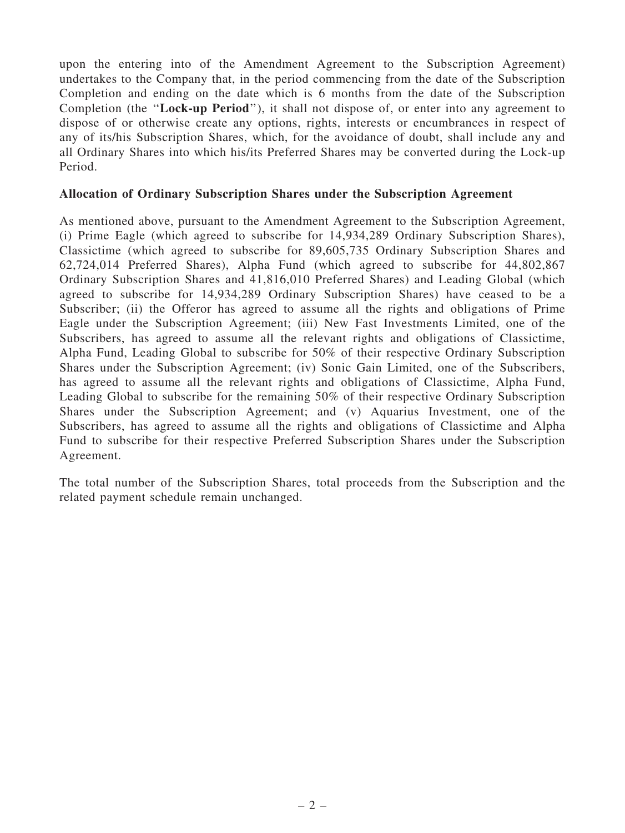upon the entering into of the Amendment Agreement to the Subscription Agreement) undertakes to the Company that, in the period commencing from the date of the Subscription Completion and ending on the date which is 6 months from the date of the Subscription Completion (the ''Lock-up Period''), it shall not dispose of, or enter into any agreement to dispose of or otherwise create any options, rights, interests or encumbrances in respect of any of its/his Subscription Shares, which, for the avoidance of doubt, shall include any and all Ordinary Shares into which his/its Preferred Shares may be converted during the Lock-up Period.

#### Allocation of Ordinary Subscription Shares under the Subscription Agreement

As mentioned above, pursuant to the Amendment Agreement to the Subscription Agreement, (i) Prime Eagle (which agreed to subscribe for 14,934,289 Ordinary Subscription Shares), Classictime (which agreed to subscribe for 89,605,735 Ordinary Subscription Shares and 62,724,014 Preferred Shares), Alpha Fund (which agreed to subscribe for 44,802,867 Ordinary Subscription Shares and 41,816,010 Preferred Shares) and Leading Global (which agreed to subscribe for 14,934,289 Ordinary Subscription Shares) have ceased to be a Subscriber; (ii) the Offeror has agreed to assume all the rights and obligations of Prime Eagle under the Subscription Agreement; (iii) New Fast Investments Limited, one of the Subscribers, has agreed to assume all the relevant rights and obligations of Classictime, Alpha Fund, Leading Global to subscribe for 50% of their respective Ordinary Subscription Shares under the Subscription Agreement; (iv) Sonic Gain Limited, one of the Subscribers, has agreed to assume all the relevant rights and obligations of Classictime, Alpha Fund, Leading Global to subscribe for the remaining 50% of their respective Ordinary Subscription Shares under the Subscription Agreement; and (v) Aquarius Investment, one of the Subscribers, has agreed to assume all the rights and obligations of Classictime and Alpha Fund to subscribe for their respective Preferred Subscription Shares under the Subscription Agreement.

The total number of the Subscription Shares, total proceeds from the Subscription and the related payment schedule remain unchanged.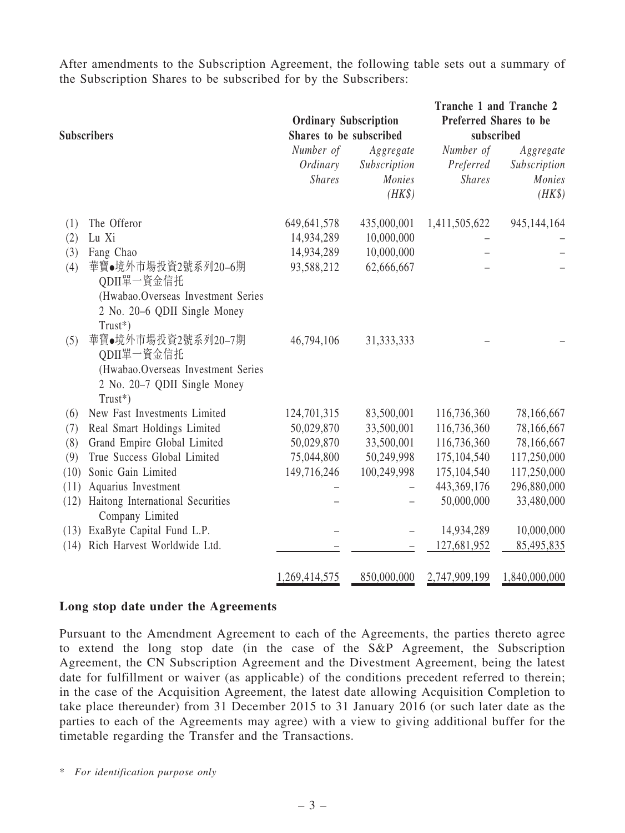After amendments to the Subscription Agreement, the following table sets out a summary of the Subscription Shares to be subscribed for by the Subscribers:

| <b>Subscribers</b> |                                                                                                                      | <b>Ordinary Subscription</b><br>Shares to be subscribed |                                               | Tranche 1 and Tranche 2<br>Preferred Shares to be<br>subscribed |                                                      |  |
|--------------------|----------------------------------------------------------------------------------------------------------------------|---------------------------------------------------------|-----------------------------------------------|-----------------------------------------------------------------|------------------------------------------------------|--|
|                    |                                                                                                                      | Number of<br>Ordinary<br><b>Shares</b>                  | Aggregate<br>Subscription<br>Monies<br>$(HK\$ | Number of<br>Preferred<br><b>Shares</b>                         | Aggregate<br>Subscription<br><b>Monies</b><br>$(HK\$ |  |
| (1)                | The Offeror                                                                                                          | 649, 641, 578                                           | 435,000,001                                   | 1,411,505,622                                                   | 945,144,164                                          |  |
| (2)                | Lu Xi                                                                                                                | 14,934,289                                              | 10,000,000                                    |                                                                 |                                                      |  |
| (3)                | Fang Chao                                                                                                            | 14,934,289                                              | 10,000,000                                    |                                                                 |                                                      |  |
| (4)                | 華寶●境外市場投資2號系列20-6期<br>QDII單一資金信托<br>(Hwabao.Overseas Investment Series<br>2 No. 20-6 QDII Single Money<br>Trust*)    | 93,588,212                                              | 62,666,667                                    |                                                                 |                                                      |  |
| (5)                | 華寶●境外市場投資2號系列20-7期<br>QDII單一資金信托<br>(Hwabao.Overseas Investment Series<br>2 No. 20-7 QDII Single Money<br>$Trust^*)$ | 46,794,106                                              | 31, 333, 333                                  |                                                                 |                                                      |  |
| (6)                | New Fast Investments Limited                                                                                         | 124,701,315                                             | 83,500,001                                    | 116,736,360                                                     | 78,166,667                                           |  |
| (7)                | Real Smart Holdings Limited                                                                                          | 50,029,870                                              | 33,500,001                                    | 116,736,360                                                     | 78,166,667                                           |  |
| (8)                | Grand Empire Global Limited                                                                                          | 50,029,870                                              | 33,500,001                                    | 116,736,360                                                     | 78,166,667                                           |  |
| (9)                | True Success Global Limited                                                                                          | 75,044,800                                              | 50,249,998                                    | 175,104,540                                                     | 117,250,000                                          |  |
| (10)               | Sonic Gain Limited                                                                                                   | 149,716,246                                             | 100,249,998                                   | 175,104,540                                                     | 117,250,000                                          |  |
| (11)               | Aquarius Investment                                                                                                  |                                                         |                                               | 443,369,176                                                     | 296,880,000                                          |  |
| (12)               | Haitong International Securities<br>Company Limited                                                                  |                                                         |                                               | 50,000,000                                                      | 33,480,000                                           |  |
|                    | (13) ExaByte Capital Fund L.P.                                                                                       |                                                         |                                               | 14,934,289                                                      | 10,000,000                                           |  |
|                    | (14) Rich Harvest Worldwide Ltd.                                                                                     |                                                         |                                               | 127,681,952                                                     | 85,495,835                                           |  |
|                    |                                                                                                                      | 1,269,414,575                                           | 850,000,000                                   | 2,747,909,199                                                   | 1,840,000,000                                        |  |

#### Long stop date under the Agreements

Pursuant to the Amendment Agreement to each of the Agreements, the parties thereto agree to extend the long stop date (in the case of the S&P Agreement, the Subscription Agreement, the CN Subscription Agreement and the Divestment Agreement, being the latest date for fulfillment or waiver (as applicable) of the conditions precedent referred to therein; in the case of the Acquisition Agreement, the latest date allowing Acquisition Completion to take place thereunder) from 31 December 2015 to 31 January 2016 (or such later date as the parties to each of the Agreements may agree) with a view to giving additional buffer for the timetable regarding the Transfer and the Transactions.

\* *For identification purpose only*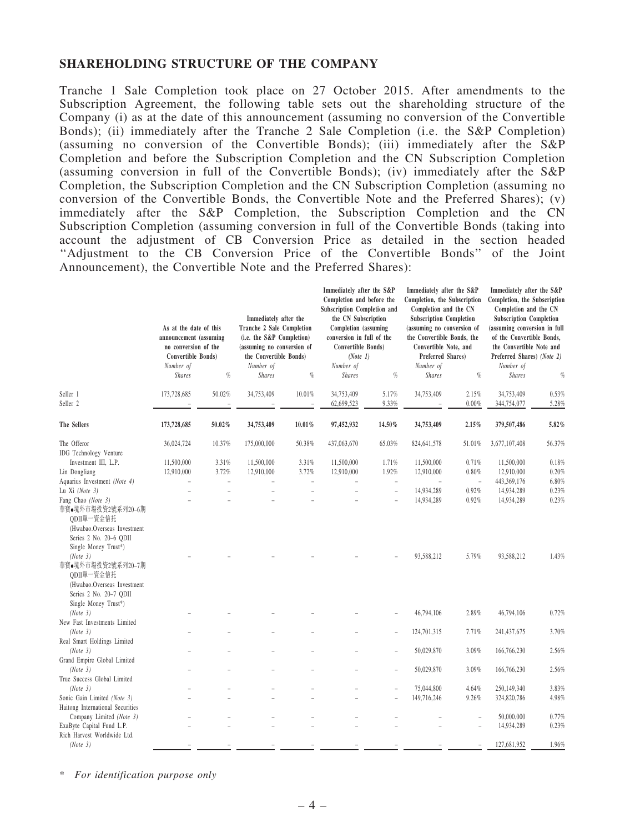#### SHAREHOLDING STRUCTURE OF THE COMPANY

Tranche 1 Sale Completion took place on 27 October 2015. After amendments to the Subscription Agreement, the following table sets out the shareholding structure of the Company (i) as at the date of this announcement (assuming no conversion of the Convertible Bonds); (ii) immediately after the Tranche 2 Sale Completion (i.e. the S&P Completion) (assuming no conversion of the Convertible Bonds); (iii) immediately after the S&P Completion and before the Subscription Completion and the CN Subscription Completion (assuming conversion in full of the Convertible Bonds); (iv) immediately after the S&P Completion, the Subscription Completion and the CN Subscription Completion (assuming no conversion of the Convertible Bonds, the Convertible Note and the Preferred Shares); (v) immediately after the S&P Completion, the Subscription Completion and the CN Subscription Completion (assuming conversion in full of the Convertible Bonds (taking into account the adjustment of CB Conversion Price as detailed in the section headed ''Adjustment to the CB Conversion Price of the Convertible Bonds'' of the Joint Announcement), the Convertible Note and the Preferred Shares):

|                                                                               | As at the date of this<br>announcement (assuming<br>no conversion of the<br><b>Convertible Bonds</b> )<br>Number of |                     | Immediately after the<br>Tranche 2 Sale Completion<br>(i.e. the S&P Completion)<br>(assuming no conversion of<br>the Convertible Bonds)<br>Number of |                     | Immediately after the S&P<br>Completion and before the<br>Subscription Completion and<br>the CN Subscription<br>Completion (assuming<br>conversion in full of the<br>Convertible Bonds)<br>(Note 1)<br>Number of |                          | Immediately after the S&P<br>Completion, the Subscription<br>Completion and the CN<br><b>Subscription Completion</b><br>(assuming no conversion of<br>the Convertible Bonds, the<br>Convertible Note, and<br>Preferred Shares)<br>Number of |                              | Immediately after the S&P<br>Completion, the Subscription<br>Completion and the CN<br><b>Subscription Completion</b><br>(assuming conversion in full<br>of the Convertible Bonds,<br>the Convertible Note and<br>Preferred Shares) (Note 2)<br>Number of |                |
|-------------------------------------------------------------------------------|---------------------------------------------------------------------------------------------------------------------|---------------------|------------------------------------------------------------------------------------------------------------------------------------------------------|---------------------|------------------------------------------------------------------------------------------------------------------------------------------------------------------------------------------------------------------|--------------------------|---------------------------------------------------------------------------------------------------------------------------------------------------------------------------------------------------------------------------------------------|------------------------------|----------------------------------------------------------------------------------------------------------------------------------------------------------------------------------------------------------------------------------------------------------|----------------|
|                                                                               | <b>Shares</b>                                                                                                       | $\%$                | <b>Shares</b>                                                                                                                                        | $\%$                | <b>Shares</b>                                                                                                                                                                                                    | $\%$                     | <b>Shares</b>                                                                                                                                                                                                                               | $q_{\!\scriptscriptstyle 0}$ | <b>Shares</b>                                                                                                                                                                                                                                            | $\%$           |
| Seller 1<br>Seller <sub>2</sub>                                               | 173,728,685                                                                                                         | 50.02%              | 34,753,409                                                                                                                                           | 10.01%<br>÷,        | 34,753,409<br>62,699,523                                                                                                                                                                                         | 5.17%<br>9.33%           | 34,753,409                                                                                                                                                                                                                                  | 2.15%<br>0.00%               | 34,753,409<br>344,754,077                                                                                                                                                                                                                                | 0.53%<br>5.28% |
| The Sellers                                                                   | 173,728,685                                                                                                         | $50.02\%$           | 34,753,409                                                                                                                                           | $10.01\%$           | 97,452,932                                                                                                                                                                                                       | 14.50%                   | 34,753,409                                                                                                                                                                                                                                  | 2.15%                        | 379,507,486                                                                                                                                                                                                                                              | 5.82%          |
| The Offeror                                                                   | 36,024,724                                                                                                          | 10.37%              | 175,000,000                                                                                                                                          | 50.38%              | 437,063,670                                                                                                                                                                                                      | 65.03%                   | 824,641,578                                                                                                                                                                                                                                 | 51.01%                       | 3,677,107,408                                                                                                                                                                                                                                            | 56.37%         |
| <b>IDG</b> Technology Venture                                                 |                                                                                                                     |                     |                                                                                                                                                      |                     |                                                                                                                                                                                                                  |                          |                                                                                                                                                                                                                                             |                              |                                                                                                                                                                                                                                                          |                |
| Investment III, L.P.                                                          | 11,500,000                                                                                                          | 3.31%               | 11,500,000                                                                                                                                           | 3.31%               | 11,500,000                                                                                                                                                                                                       | 1.71%                    | 11,500,000                                                                                                                                                                                                                                  | 0.71%                        | 11,500,000                                                                                                                                                                                                                                               | 0.18%          |
| Lin Dongliang                                                                 | 12,910,000                                                                                                          | 3.72%               | 12,910,000                                                                                                                                           | 3.72%               | 12,910,000                                                                                                                                                                                                       | 1.92%                    | 12,910,000                                                                                                                                                                                                                                  | 0.80%                        | 12,910,000                                                                                                                                                                                                                                               | 0.20%          |
| Aquarius Investment (Note 4)                                                  | L,                                                                                                                  | $\bar{\phantom{a}}$ |                                                                                                                                                      | $\bar{\phantom{a}}$ |                                                                                                                                                                                                                  | $\overline{\phantom{a}}$ |                                                                                                                                                                                                                                             | $\bar{a}$                    | 443,369,176                                                                                                                                                                                                                                              | 6.80%          |
| Lu Xi (Note 3)                                                                |                                                                                                                     |                     |                                                                                                                                                      |                     |                                                                                                                                                                                                                  | $\overline{a}$           | 14,934,289                                                                                                                                                                                                                                  | 0.92%                        | 14,934,289                                                                                                                                                                                                                                               | 0.23%          |
| Fang Chao (Note 3)<br>華寶●境外市場投資2號系列20-6期<br>ODII單一資金信托                        |                                                                                                                     |                     |                                                                                                                                                      |                     |                                                                                                                                                                                                                  |                          | 14,934,289                                                                                                                                                                                                                                  | 0.92%                        | 14,934,289                                                                                                                                                                                                                                               | 0.23%          |
| (Hwabao.Overseas Investment<br>Series 2 No. 20-6 QDII<br>Single Money Trust*) |                                                                                                                     |                     |                                                                                                                                                      |                     |                                                                                                                                                                                                                  |                          |                                                                                                                                                                                                                                             |                              |                                                                                                                                                                                                                                                          |                |
| (Note 3)<br>華寶●境外市場投資2號系列20-7期<br>ODII單一資金信托<br>(Hwabao.Overseas Investment   |                                                                                                                     |                     |                                                                                                                                                      |                     |                                                                                                                                                                                                                  |                          | 93,588,212                                                                                                                                                                                                                                  | 5.79%                        | 93,588,212                                                                                                                                                                                                                                               | 1.43%          |
| Series 2 No. 20-7 QDII<br>Single Money Trust*)                                |                                                                                                                     |                     |                                                                                                                                                      |                     |                                                                                                                                                                                                                  |                          |                                                                                                                                                                                                                                             |                              |                                                                                                                                                                                                                                                          |                |
| (Note 3)<br>New Fast Investments Limited                                      |                                                                                                                     |                     |                                                                                                                                                      |                     |                                                                                                                                                                                                                  |                          | 46,794,106                                                                                                                                                                                                                                  | 2.89%                        | 46,794,106                                                                                                                                                                                                                                               | 0.72%          |
| (Note 3)                                                                      |                                                                                                                     |                     |                                                                                                                                                      |                     |                                                                                                                                                                                                                  |                          | 124,701,315                                                                                                                                                                                                                                 | 7.71%                        | 241,437,675                                                                                                                                                                                                                                              | 3.70%          |
| Real Smart Holdings Limited<br>(Note 3)                                       |                                                                                                                     |                     |                                                                                                                                                      |                     |                                                                                                                                                                                                                  |                          | 50,029,870                                                                                                                                                                                                                                  | 3.09%                        | 166,766,230                                                                                                                                                                                                                                              | 2.56%          |
| Grand Empire Global Limited<br>(Note 3)                                       |                                                                                                                     |                     |                                                                                                                                                      |                     |                                                                                                                                                                                                                  |                          | 50,029,870                                                                                                                                                                                                                                  | 3.09%                        | 166,766,230                                                                                                                                                                                                                                              | 2.56%          |
| True Success Global Limited                                                   |                                                                                                                     |                     |                                                                                                                                                      |                     |                                                                                                                                                                                                                  |                          |                                                                                                                                                                                                                                             |                              |                                                                                                                                                                                                                                                          |                |
|                                                                               |                                                                                                                     |                     |                                                                                                                                                      |                     |                                                                                                                                                                                                                  |                          |                                                                                                                                                                                                                                             |                              |                                                                                                                                                                                                                                                          |                |
| (Note 3)                                                                      |                                                                                                                     |                     |                                                                                                                                                      |                     |                                                                                                                                                                                                                  |                          | 75,044,800                                                                                                                                                                                                                                  | 4.64%                        | 250,149,340                                                                                                                                                                                                                                              | 3.83%          |
| Sonic Gain Limited (Note 3)                                                   |                                                                                                                     |                     |                                                                                                                                                      |                     |                                                                                                                                                                                                                  |                          | 149,716,246                                                                                                                                                                                                                                 | 9.26%                        | 324,820,786                                                                                                                                                                                                                                              | 4.98%          |
| Haitong International Securities                                              |                                                                                                                     |                     |                                                                                                                                                      |                     |                                                                                                                                                                                                                  |                          |                                                                                                                                                                                                                                             |                              |                                                                                                                                                                                                                                                          |                |
| Company Limited (Note 3)                                                      |                                                                                                                     |                     |                                                                                                                                                      |                     |                                                                                                                                                                                                                  |                          |                                                                                                                                                                                                                                             |                              | 50,000,000                                                                                                                                                                                                                                               | 0.77%          |
| ExaByte Capital Fund L.P.                                                     |                                                                                                                     |                     |                                                                                                                                                      |                     |                                                                                                                                                                                                                  |                          |                                                                                                                                                                                                                                             | $\overline{a}$               | 14,934,289                                                                                                                                                                                                                                               | 0.23%          |
| Rich Harvest Worldwide Ltd.                                                   |                                                                                                                     |                     |                                                                                                                                                      |                     |                                                                                                                                                                                                                  |                          |                                                                                                                                                                                                                                             |                              |                                                                                                                                                                                                                                                          |                |
| (Note 3)                                                                      |                                                                                                                     |                     |                                                                                                                                                      |                     |                                                                                                                                                                                                                  |                          |                                                                                                                                                                                                                                             |                              | 127,681,952                                                                                                                                                                                                                                              | 1.96%          |

\* *For identification purpose only*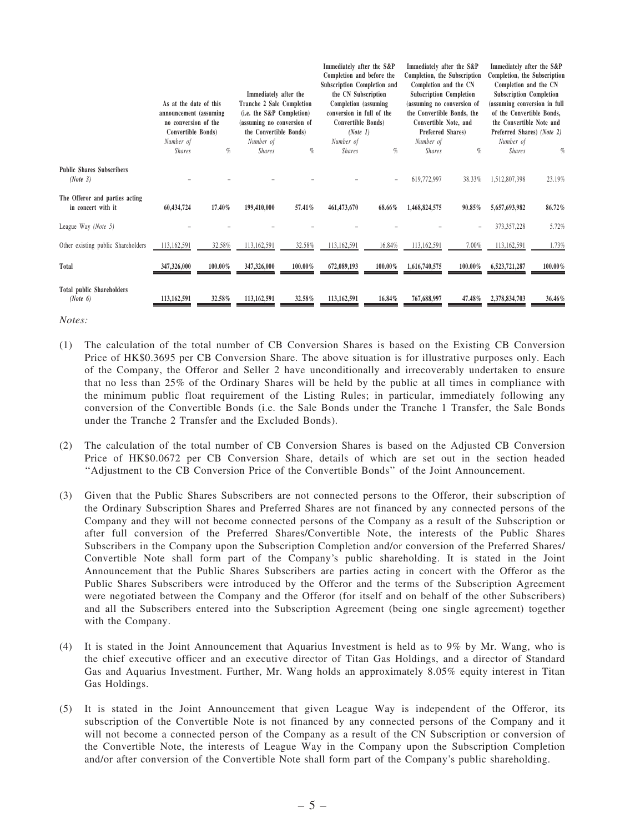|                                                      | As at the date of this<br>announcement (assuming<br>no conversion of the<br>Convertible Bonds) |         | Immediately after the<br>Tranche 2 Sale Completion<br>(i.e. the S&P Completion)<br>(assuming no conversion of<br>the Convertible Bonds) |         | Immediately after the S&P<br>Completion and before the<br>Subscription Completion and<br>the CN Subscription<br>Completion (assuming)<br>conversion in full of the<br>Convertible Bonds)<br>(Note 1) |         | Immediately after the S&P<br>Completion, the Subscription<br>Completion and the CN<br><b>Subscription Completion</b><br>(assuming no conversion of<br>the Convertible Bonds, the<br>Convertible Note, and<br>Preferred Shares) |            | Immediately after the S&P<br>Completion, the Subscription<br>Completion and the CN<br><b>Subscription Completion</b><br>(assuming conversion in full<br>of the Convertible Bonds,<br>the Convertible Note and<br>Preferred Shares) (Note 2) |            |
|------------------------------------------------------|------------------------------------------------------------------------------------------------|---------|-----------------------------------------------------------------------------------------------------------------------------------------|---------|------------------------------------------------------------------------------------------------------------------------------------------------------------------------------------------------------|---------|--------------------------------------------------------------------------------------------------------------------------------------------------------------------------------------------------------------------------------|------------|---------------------------------------------------------------------------------------------------------------------------------------------------------------------------------------------------------------------------------------------|------------|
|                                                      | Number of                                                                                      |         | Number of                                                                                                                               |         | Number of                                                                                                                                                                                            |         | Number of                                                                                                                                                                                                                      |            | Number of                                                                                                                                                                                                                                   |            |
|                                                      | <b>Shares</b>                                                                                  | %       | <b>Shares</b>                                                                                                                           | $\%$    | <b>Shares</b>                                                                                                                                                                                        | $\%$    | <b>Shares</b>                                                                                                                                                                                                                  | $\%$       | <b>Shares</b>                                                                                                                                                                                                                               | %          |
| <b>Public Shares Subscribers</b><br>(Note 3)         |                                                                                                |         |                                                                                                                                         |         |                                                                                                                                                                                                      |         | 619,772,997                                                                                                                                                                                                                    | 38.33%     | 1,512,807,398                                                                                                                                                                                                                               | 23.19%     |
| The Offeror and parties acting<br>in concert with it | 60,434,724                                                                                     | 17.40%  | 199,410,000                                                                                                                             | 57.41%  | 461,473,670                                                                                                                                                                                          | 68.66%  | 1,468,824,575                                                                                                                                                                                                                  | $90.85\%$  | 5,657,693,982                                                                                                                                                                                                                               | 86.72%     |
| League Way (Note 5)                                  |                                                                                                |         |                                                                                                                                         |         |                                                                                                                                                                                                      |         |                                                                                                                                                                                                                                |            | 373, 357, 228                                                                                                                                                                                                                               | 5.72%      |
| Other existing public Shareholders                   | 113,162,591                                                                                    | 32.58%  | 113,162,591                                                                                                                             | 32.58%  | 113,162,591                                                                                                                                                                                          | 16.84%  | 113,162,591                                                                                                                                                                                                                    | 7.00%      | 113,162,591                                                                                                                                                                                                                                 | 1.73%      |
| Total                                                | 347,326,000                                                                                    | 100.00% | 347,326,000                                                                                                                             | 100.00% | 672,089,193                                                                                                                                                                                          | 100.00% | 1,616,740,575                                                                                                                                                                                                                  | $100.00\%$ | 6,523,721,287                                                                                                                                                                                                                               | $100.00\%$ |
| <b>Total public Shareholders</b><br>(Note 6)         | 113,162,591                                                                                    | 32.58%  | 113,162,591                                                                                                                             | 32.58%  | 113,162,591                                                                                                                                                                                          | 16.84%  | 767,688,997                                                                                                                                                                                                                    | 47.48%     | 2,378,834,703                                                                                                                                                                                                                               | 36.46%     |

*Notes:*

- (1) The calculation of the total number of CB Conversion Shares is based on the Existing CB Conversion Price of HK\$0.3695 per CB Conversion Share. The above situation is for illustrative purposes only. Each of the Company, the Offeror and Seller 2 have unconditionally and irrecoverably undertaken to ensure that no less than 25% of the Ordinary Shares will be held by the public at all times in compliance with the minimum public float requirement of the Listing Rules; in particular, immediately following any conversion of the Convertible Bonds (i.e. the Sale Bonds under the Tranche 1 Transfer, the Sale Bonds under the Tranche 2 Transfer and the Excluded Bonds).
- (2) The calculation of the total number of CB Conversion Shares is based on the Adjusted CB Conversion Price of HK\$0.0672 per CB Conversion Share, details of which are set out in the section headed ''Adjustment to the CB Conversion Price of the Convertible Bonds'' of the Joint Announcement.
- (3) Given that the Public Shares Subscribers are not connected persons to the Offeror, their subscription of the Ordinary Subscription Shares and Preferred Shares are not financed by any connected persons of the Company and they will not become connected persons of the Company as a result of the Subscription or after full conversion of the Preferred Shares/Convertible Note, the interests of the Public Shares Subscribers in the Company upon the Subscription Completion and/or conversion of the Preferred Shares/ Convertible Note shall form part of the Company's public shareholding. It is stated in the Joint Announcement that the Public Shares Subscribers are parties acting in concert with the Offeror as the Public Shares Subscribers were introduced by the Offeror and the terms of the Subscription Agreement were negotiated between the Company and the Offeror (for itself and on behalf of the other Subscribers) and all the Subscribers entered into the Subscription Agreement (being one single agreement) together with the Company.
- (4) It is stated in the Joint Announcement that Aquarius Investment is held as to 9% by Mr. Wang, who is the chief executive officer and an executive director of Titan Gas Holdings, and a director of Standard Gas and Aquarius Investment. Further, Mr. Wang holds an approximately 8.05% equity interest in Titan Gas Holdings.
- (5) It is stated in the Joint Announcement that given League Way is independent of the Offeror, its subscription of the Convertible Note is not financed by any connected persons of the Company and it will not become a connected person of the Company as a result of the CN Subscription or conversion of the Convertible Note, the interests of League Way in the Company upon the Subscription Completion and/or after conversion of the Convertible Note shall form part of the Company's public shareholding.